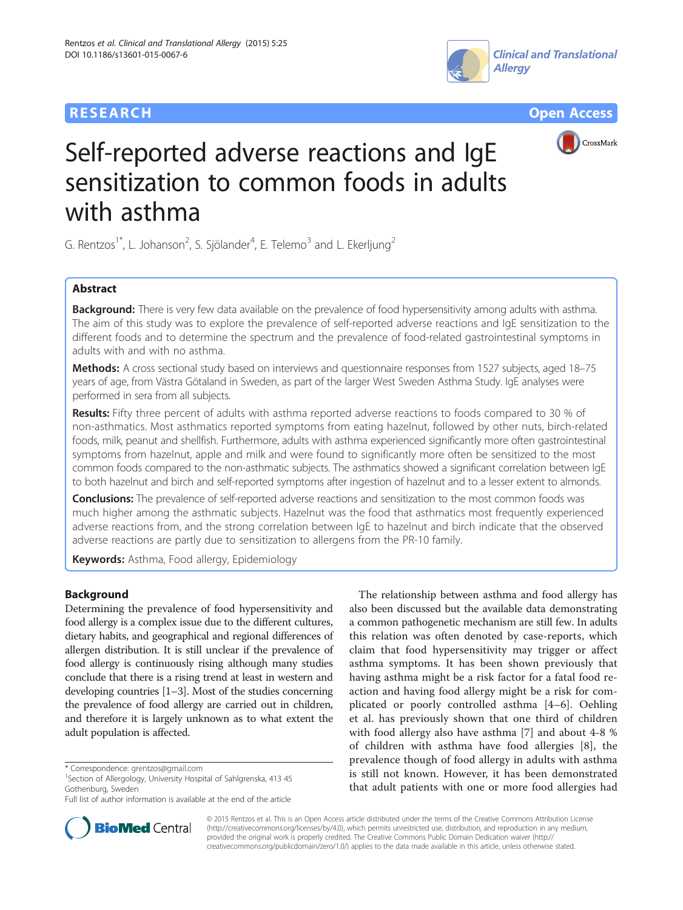## **RESEARCH CHE Open Access**







# Self-reported adverse reactions and IgE sensitization to common foods in adults with asthma

G. Rentzos<sup>1\*</sup>, L. Johanson<sup>2</sup>, S. Sjölander<sup>4</sup>, E. Telemo<sup>3</sup> and L. Ekerljung<sup>2</sup>

## Abstract

Background: There is very few data available on the prevalence of food hypersensitivity among adults with asthma. The aim of this study was to explore the prevalence of self-reported adverse reactions and IgE sensitization to the different foods and to determine the spectrum and the prevalence of food-related gastrointestinal symptoms in adults with and with no asthma.

Methods: A cross sectional study based on interviews and questionnaire responses from 1527 subjects, aged 18–75 years of age, from Västra Götaland in Sweden, as part of the larger West Sweden Asthma Study. IgE analyses were performed in sera from all subjects.

Results: Fifty three percent of adults with asthma reported adverse reactions to foods compared to 30 % of non-asthmatics. Most asthmatics reported symptoms from eating hazelnut, followed by other nuts, birch-related foods, milk, peanut and shellfish. Furthermore, adults with asthma experienced significantly more often gastrointestinal symptoms from hazelnut, apple and milk and were found to significantly more often be sensitized to the most common foods compared to the non-asthmatic subjects. The asthmatics showed a significant correlation between IgE to both hazelnut and birch and self-reported symptoms after ingestion of hazelnut and to a lesser extent to almonds.

**Conclusions:** The prevalence of self-reported adverse reactions and sensitization to the most common foods was much higher among the asthmatic subjects. Hazelnut was the food that asthmatics most frequently experienced adverse reactions from, and the strong correlation between IgE to hazelnut and birch indicate that the observed adverse reactions are partly due to sensitization to allergens from the PR-10 family.

Keywords: Asthma, Food allergy, Epidemiology

## Background

Determining the prevalence of food hypersensitivity and food allergy is a complex issue due to the different cultures, dietary habits, and geographical and regional differences of allergen distribution. It is still unclear if the prevalence of food allergy is continuously rising although many studies conclude that there is a rising trend at least in western and developing countries [\[1](#page-10-0)–[3\]](#page-10-0). Most of the studies concerning the prevalence of food allergy are carried out in children, and therefore it is largely unknown as to what extent the adult population is affected.

<sup>1</sup> Section of Allergology, University Hospital of Sahlgrenska, 413 45 Gothenburg, Sweden

The relationship between asthma and food allergy has also been discussed but the available data demonstrating a common pathogenetic mechanism are still few. In adults this relation was often denoted by case-reports, which claim that food hypersensitivity may trigger or affect asthma symptoms. It has been shown previously that having asthma might be a risk factor for a fatal food reaction and having food allergy might be a risk for complicated or poorly controlled asthma [[4](#page-10-0)–[6](#page-10-0)]. Oehling et al. has previously shown that one third of children with food allergy also have asthma [\[7](#page-10-0)] and about 4-8 % of children with asthma have food allergies [\[8](#page-10-0)], the prevalence though of food allergy in adults with asthma is still not known. However, it has been demonstrated that adult patients with one or more food allergies had



© 2015 Rentzos et al. This is an Open Access article distributed under the terms of the Creative Commons Attribution License [\(http://creativecommons.org/licenses/by/4.0\)](http://creativecommons.org/licenses/by/4.0), which permits unrestricted use, distribution, and reproduction in any medium, provided the original work is properly credited. The Creative Commons Public Domain Dedication waiver [\(http://](http://creativecommons.org/publicdomain/zero/1.0/) [creativecommons.org/publicdomain/zero/1.0/\)](http://creativecommons.org/publicdomain/zero/1.0/) applies to the data made available in this article, unless otherwise stated.

<sup>\*</sup> Correspondence: [grentzos@gmail.com](mailto:grentzos@gmail.com) <sup>1</sup>

Full list of author information is available at the end of the article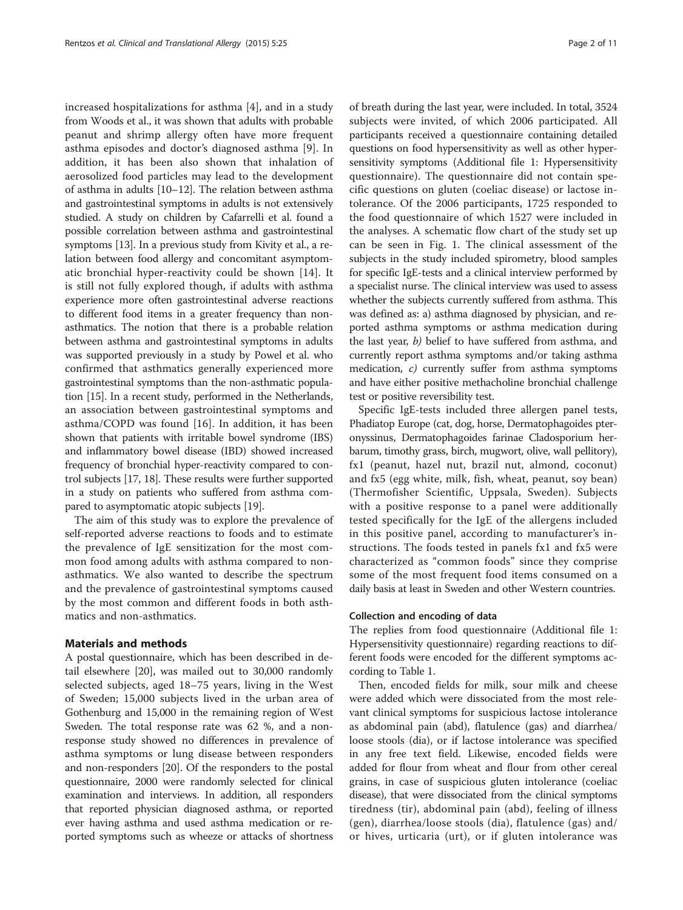increased hospitalizations for asthma [[4\]](#page-10-0), and in a study from Woods et al., it was shown that adults with probable peanut and shrimp allergy often have more frequent asthma episodes and doctor's diagnosed asthma [\[9](#page-10-0)]. In addition, it has been also shown that inhalation of aerosolized food particles may lead to the development of asthma in adults [\[10](#page-10-0)–[12](#page-10-0)]. The relation between asthma and gastrointestinal symptoms in adults is not extensively studied. A study on children by Cafarrelli et al. found a possible correlation between asthma and gastrointestinal symptoms [[13](#page-10-0)]. In a previous study from Kivity et al., a relation between food allergy and concomitant asymptomatic bronchial hyper-reactivity could be shown [\[14](#page-10-0)]. It is still not fully explored though, if adults with asthma experience more often gastrointestinal adverse reactions to different food items in a greater frequency than nonasthmatics. The notion that there is a probable relation between asthma and gastrointestinal symptoms in adults was supported previously in a study by Powel et al. who confirmed that asthmatics generally experienced more gastrointestinal symptoms than the non-asthmatic population [[15\]](#page-10-0). In a recent study, performed in the Netherlands, an association between gastrointestinal symptoms and asthma/COPD was found [[16\]](#page-10-0). In addition, it has been shown that patients with irritable bowel syndrome (IBS) and inflammatory bowel disease (IBD) showed increased frequency of bronchial hyper-reactivity compared to control subjects [\[17, 18](#page-10-0)]. These results were further supported in a study on patients who suffered from asthma compared to asymptomatic atopic subjects [[19](#page-10-0)].

The aim of this study was to explore the prevalence of self-reported adverse reactions to foods and to estimate the prevalence of IgE sensitization for the most common food among adults with asthma compared to nonasthmatics. We also wanted to describe the spectrum and the prevalence of gastrointestinal symptoms caused by the most common and different foods in both asthmatics and non-asthmatics.

## Materials and methods

A postal questionnaire, which has been described in detail elsewhere [[20](#page-10-0)], was mailed out to 30,000 randomly selected subjects, aged 18–75 years, living in the West of Sweden; 15,000 subjects lived in the urban area of Gothenburg and 15,000 in the remaining region of West Sweden. The total response rate was 62 %, and a nonresponse study showed no differences in prevalence of asthma symptoms or lung disease between responders and non-responders [\[20\]](#page-10-0). Of the responders to the postal questionnaire, 2000 were randomly selected for clinical examination and interviews. In addition, all responders that reported physician diagnosed asthma, or reported ever having asthma and used asthma medication or reported symptoms such as wheeze or attacks of shortness

of breath during the last year, were included. In total, 3524 subjects were invited, of which 2006 participated. All participants received a questionnaire containing detailed questions on food hypersensitivity as well as other hypersensitivity symptoms (Additional file [1](#page-9-0): Hypersensitivity questionnaire). The questionnaire did not contain specific questions on gluten (coeliac disease) or lactose intolerance. Of the 2006 participants, 1725 responded to the food questionnaire of which 1527 were included in the analyses. A schematic flow chart of the study set up can be seen in Fig. [1](#page-2-0). The clinical assessment of the subjects in the study included spirometry, blood samples for specific IgE-tests and a clinical interview performed by a specialist nurse. The clinical interview was used to assess whether the subjects currently suffered from asthma. This was defined as: a) asthma diagnosed by physician, and reported asthma symptoms or asthma medication during the last year, b) belief to have suffered from asthma, and currently report asthma symptoms and/or taking asthma medication,  $c$ ) currently suffer from asthma symptoms and have either positive methacholine bronchial challenge test or positive reversibility test.

Specific IgE-tests included three allergen panel tests, Phadiatop Europe (cat, dog, horse, Dermatophagoides pteronyssinus, Dermatophagoides farinae Cladosporium herbarum, timothy grass, birch, mugwort, olive, wall pellitory), fx1 (peanut, hazel nut, brazil nut, almond, coconut) and fx5 (egg white, milk, fish, wheat, peanut, soy bean) (Thermofisher Scientific, Uppsala, Sweden). Subjects with a positive response to a panel were additionally tested specifically for the IgE of the allergens included in this positive panel, according to manufacturer's instructions. The foods tested in panels fx1 and fx5 were characterized as "common foods" since they comprise some of the most frequent food items consumed on a daily basis at least in Sweden and other Western countries.

#### Collection and encoding of data

The replies from food questionnaire (Additional file [1](#page-9-0): Hypersensitivity questionnaire) regarding reactions to different foods were encoded for the different symptoms according to Table [1.](#page-3-0)

Then, encoded fields for milk, sour milk and cheese were added which were dissociated from the most relevant clinical symptoms for suspicious lactose intolerance as abdominal pain (abd), flatulence (gas) and diarrhea/ loose stools (dia), or if lactose intolerance was specified in any free text field. Likewise, encoded fields were added for flour from wheat and flour from other cereal grains, in case of suspicious gluten intolerance (coeliac disease), that were dissociated from the clinical symptoms tiredness (tir), abdominal pain (abd), feeling of illness (gen), diarrhea/loose stools (dia), flatulence (gas) and/ or hives, urticaria (urt), or if gluten intolerance was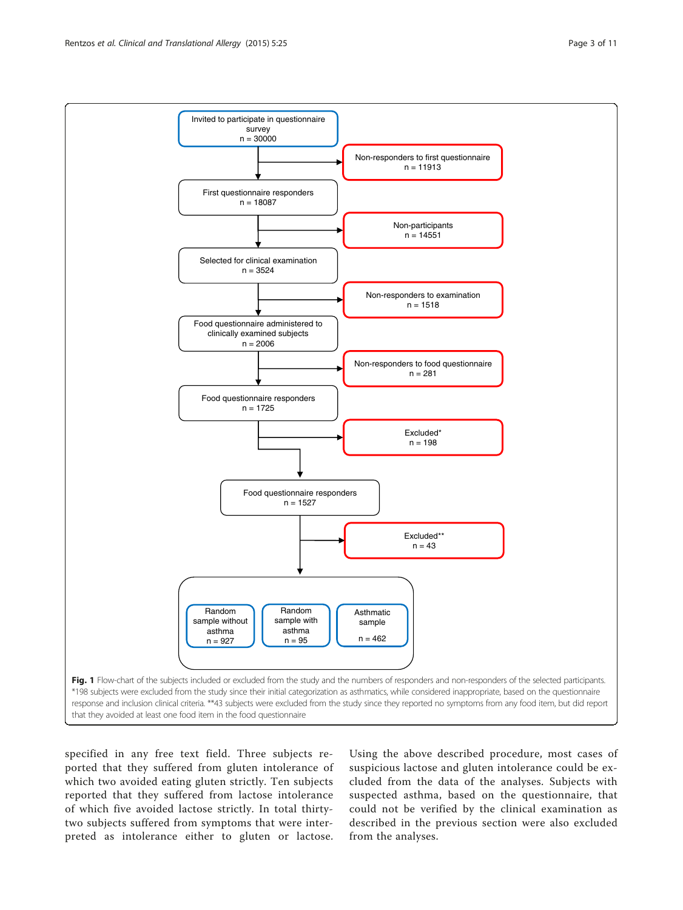<span id="page-2-0"></span>

specified in any free text field. Three subjects reported that they suffered from gluten intolerance of which two avoided eating gluten strictly. Ten subjects reported that they suffered from lactose intolerance of which five avoided lactose strictly. In total thirtytwo subjects suffered from symptoms that were interpreted as intolerance either to gluten or lactose.

Using the above described procedure, most cases of suspicious lactose and gluten intolerance could be excluded from the data of the analyses. Subjects with suspected asthma, based on the questionnaire, that could not be verified by the clinical examination as described in the previous section were also excluded from the analyses.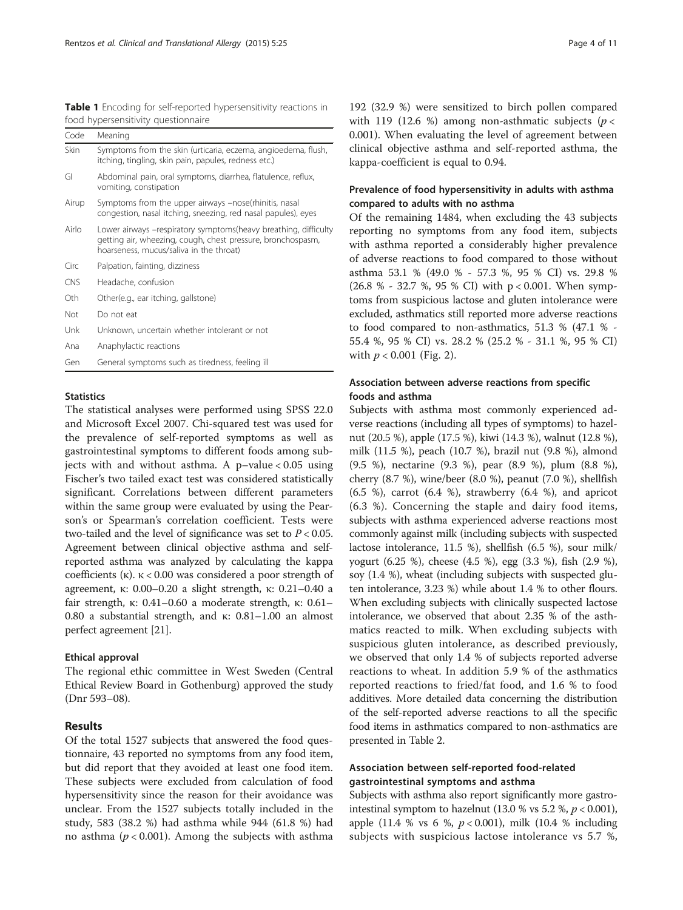<span id="page-3-0"></span>Table 1 Encoding for self-reported hypersensitivity reactions in food hypersensitivity questionnaire

| Code       | Meaning                                                                                                                                                                   |
|------------|---------------------------------------------------------------------------------------------------------------------------------------------------------------------------|
| Skin       | Symptoms from the skin (urticaria, eczema, angioedema, flush,<br>itching, tingling, skin pain, papules, redness etc.)                                                     |
| GI         | Abdominal pain, oral symptoms, diarrhea, flatulence, reflux,<br>vomiting, constipation                                                                                    |
| Airup      | Symptoms from the upper airways -nose(rhinitis, nasal<br>congestion, nasal itching, sneezing, red nasal papules), eyes                                                    |
| Airlo      | Lower airways -respiratory symptoms(heavy breathing, difficulty<br>getting air, wheezing, cough, chest pressure, bronchospasm,<br>hoarseness, mucus/saliva in the throat) |
| Circ       | Palpation, fainting, dizziness                                                                                                                                            |
| <b>CNS</b> | Headache, confusion                                                                                                                                                       |
| Oth        | Other(e.g., ear itching, gallstone)                                                                                                                                       |
| Not        | Do not eat                                                                                                                                                                |
| Unk        | Unknown, uncertain whether intolerant or not                                                                                                                              |
| Ana        | Anaphylactic reactions                                                                                                                                                    |
| Gen        | General symptoms such as tiredness, feeling ill                                                                                                                           |
|            |                                                                                                                                                                           |

#### **Statistics**

The statistical analyses were performed using SPSS 22.0 and Microsoft Excel 2007. Chi-squared test was used for the prevalence of self-reported symptoms as well as gastrointestinal symptoms to different foods among subjects with and without asthma. A p–value < 0.05 using Fischer's two tailed exact test was considered statistically significant. Correlations between different parameters within the same group were evaluated by using the Pearson's or Spearman's correlation coefficient. Tests were two-tailed and the level of significance was set to  $P < 0.05$ . Agreement between clinical objective asthma and selfreported asthma was analyzed by calculating the kappa coefficients (κ). κ < 0.00 was considered a poor strength of agreement, κ: 0.00–0.20 a slight strength, κ: 0.21–0.40 a fair strength, κ: 0.41–0.60 a moderate strength, κ: 0.61– 0.80 a substantial strength, and κ: 0.81–1.00 an almost perfect agreement [[21](#page-10-0)].

#### Ethical approval

The regional ethic committee in West Sweden (Central Ethical Review Board in Gothenburg) approved the study (Dnr 593–08).

#### Results

Of the total 1527 subjects that answered the food questionnaire, 43 reported no symptoms from any food item, but did report that they avoided at least one food item. These subjects were excluded from calculation of food hypersensitivity since the reason for their avoidance was unclear. From the 1527 subjects totally included in the study, 583 (38.2 %) had asthma while 944 (61.8 %) had no asthma ( $p < 0.001$ ). Among the subjects with asthma

192 (32.9 %) were sensitized to birch pollen compared with 119 (12.6 %) among non-asthmatic subjects ( $p <$ 0.001). When evaluating the level of agreement between clinical objective asthma and self-reported asthma, the kappa-coefficient is equal to 0.94.

## Prevalence of food hypersensitivity in adults with asthma compared to adults with no asthma

Of the remaining 1484, when excluding the 43 subjects reporting no symptoms from any food item, subjects with asthma reported a considerably higher prevalence of adverse reactions to food compared to those without asthma 53.1 % (49.0 % - 57.3 %, 95 % CI) vs. 29.8 % (26.8 % - 32.7 %, 95 % CI) with p < 0.001. When symptoms from suspicious lactose and gluten intolerance were excluded, asthmatics still reported more adverse reactions to food compared to non-asthmatics, 51.3 % (47.1 % - 55.4 %, 95 % CI) vs. 28.2 % (25.2 % - 31.1 %, 95 % CI) with  $p < 0.001$  (Fig. [2\)](#page-4-0).

## Association between adverse reactions from specific foods and asthma

Subjects with asthma most commonly experienced adverse reactions (including all types of symptoms) to hazelnut (20.5 %), apple (17.5 %), kiwi (14.3 %), walnut (12.8 %), milk (11.5 %), peach (10.7 %), brazil nut (9.8 %), almond (9.5 %), nectarine (9.3 %), pear (8.9 %), plum (8.8 %), cherry (8.7 %), wine/beer (8.0 %), peanut (7.0 %), shellfish (6.5 %), carrot (6.4 %), strawberry (6.4 %), and apricot (6.3 %). Concerning the staple and dairy food items, subjects with asthma experienced adverse reactions most commonly against milk (including subjects with suspected lactose intolerance, 11.5 %), shellfish (6.5 %), sour milk/ yogurt (6.25 %), cheese (4.5 %), egg (3.3 %), fish (2.9 %), soy (1.4 %), wheat (including subjects with suspected gluten intolerance, 3.23 %) while about 1.4 % to other flours. When excluding subjects with clinically suspected lactose intolerance, we observed that about 2.35 % of the asthmatics reacted to milk. When excluding subjects with suspicious gluten intolerance, as described previously, we observed that only 1.4 % of subjects reported adverse reactions to wheat. In addition 5.9 % of the asthmatics reported reactions to fried/fat food, and 1.6 % to food additives. More detailed data concerning the distribution of the self-reported adverse reactions to all the specific food items in asthmatics compared to non-asthmatics are presented in Table [2.](#page-5-0)

## Association between self-reported food-related gastrointestinal symptoms and asthma

Subjects with asthma also report significantly more gastrointestinal symptom to hazelnut  $(13.0 %$  vs  $5.2 %$ ,  $p < 0.001$ ), apple (11.4 % vs 6 %,  $p < 0.001$ ), milk (10.4 % including subjects with suspicious lactose intolerance vs 5.7 %,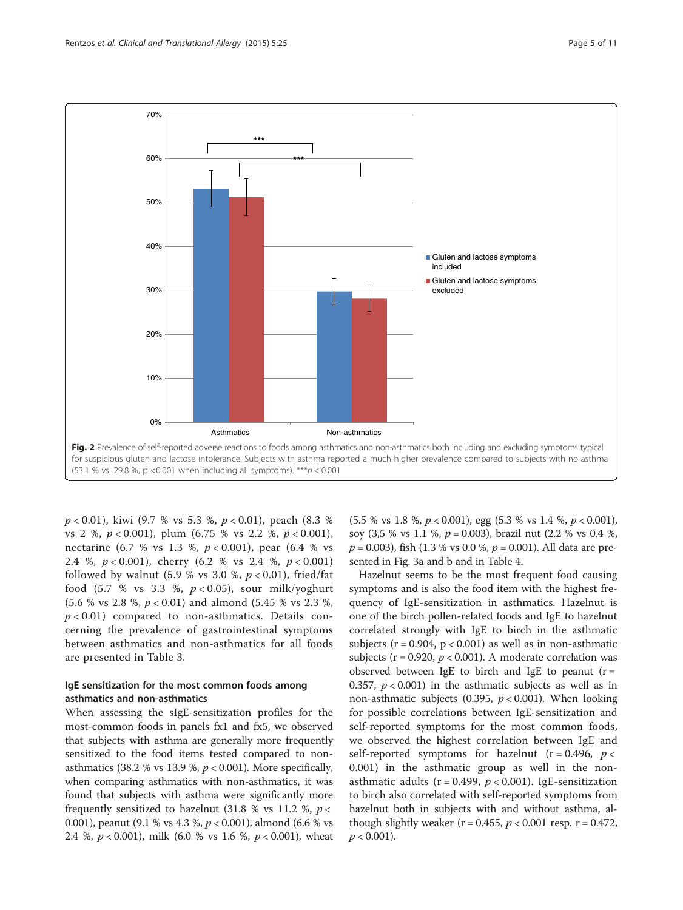<span id="page-4-0"></span>

 $p < 0.01$ ), kiwi (9.7 % vs 5.3 %,  $p < 0.01$ ), peach (8.3 %) vs 2 %,  $p < 0.001$ ), plum  $(6.75 \% \text{ vs } 2.2 \% \text{, } p < 0.001)$ , nectarine (6.7 % vs 1.3 %,  $p < 0.001$ ), pear (6.4 % vs 2.4 %,  $p < 0.001$ ), cherry  $(6.2 \% \text{ vs } 2.4 \% \text{, } p < 0.001)$ followed by walnut (5.9 % vs 3.0 %,  $p < 0.01$ ), fried/fat food (5.7 % vs 3.3 %, p < 0.05), sour milk/yoghurt  $(5.6 \% \text{ vs } 2.8 \% , p < 0.01)$  and almond  $(5.45 \% \text{ vs } 2.3 \% ,$  $p < 0.01$ ) compared to non-asthmatics. Details concerning the prevalence of gastrointestinal symptoms between asthmatics and non-asthmatics for all foods are presented in Table [3](#page-6-0).

## IgE sensitization for the most common foods among asthmatics and non-asthmatics

When assessing the sIgE-sensitization profiles for the most-common foods in panels fx1 and fx5, we observed that subjects with asthma are generally more frequently sensitized to the food items tested compared to nonasthmatics (38.2 % vs 13.9 %,  $p < 0.001$ ). More specifically, when comparing asthmatics with non-asthmatics, it was found that subjects with asthma were significantly more frequently sensitized to hazelnut (31.8 % vs 11.2 %,  $p <$ 0.001), peanut (9.1 % vs 4.3 %, p < 0.001), almond (6.6 % vs 2.4 %,  $p < 0.001$ ), milk (6.0 % vs 1.6 %,  $p < 0.001$ ), wheat  $(5.5 %$  vs 1.8 %,  $p < 0.001$ ), egg  $(5.3 %$  vs 1.4 %,  $p < 0.001$ ), soy (3,5 % vs 1.1 %,  $p = 0.003$ ), brazil nut (2.2 % vs 0.4 %,  $p = 0.003$ ), fish (1.3 % vs 0.0 %,  $p = 0.001$ ). All data are presented in Fig. [3a and b](#page-7-0) and in Table [4](#page-8-0).

Hazelnut seems to be the most frequent food causing symptoms and is also the food item with the highest frequency of IgE-sensitization in asthmatics. Hazelnut is one of the birch pollen-related foods and IgE to hazelnut correlated strongly with IgE to birch in the asthmatic subjects ( $r = 0.904$ ,  $p < 0.001$ ) as well as in non-asthmatic subjects ( $r = 0.920$ ,  $p < 0.001$ ). A moderate correlation was observed between IgE to birch and IgE to peanut  $(r =$ 0.357,  $p < 0.001$ ) in the asthmatic subjects as well as in non-asthmatic subjects (0.395,  $p < 0.001$ ). When looking for possible correlations between IgE-sensitization and self-reported symptoms for the most common foods, we observed the highest correlation between IgE and self-reported symptoms for hazelnut ( $r = 0.496$ ,  $p <$ 0.001) in the asthmatic group as well in the nonasthmatic adults ( $r = 0.499$ ,  $p < 0.001$ ). IgE-sensitization to birch also correlated with self-reported symptoms from hazelnut both in subjects with and without asthma, although slightly weaker ( $r = 0.455$ ,  $p < 0.001$  resp.  $r = 0.472$ ,  $p < 0.001$ ).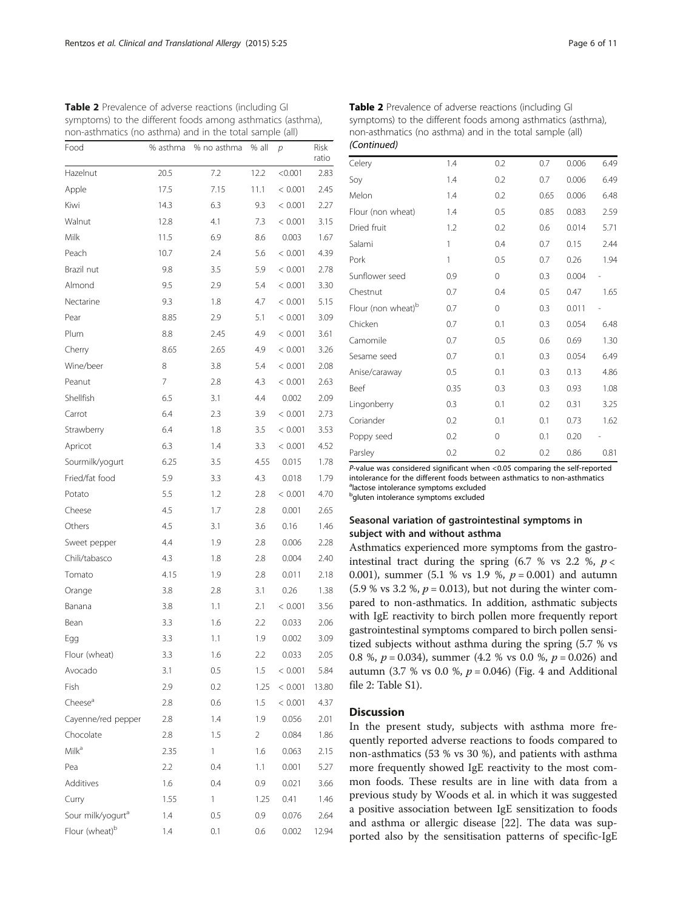| TIOTI-astrifiatics (TiO astrifia) and in the total sample (ail)<br>Food | % asthma | % no asthma | % all | р       | Risk          |
|-------------------------------------------------------------------------|----------|-------------|-------|---------|---------------|
| Hazelnut                                                                | 20.5     | 7.2         | 12.2  | < 0.001 | ratio<br>2.83 |
| Apple                                                                   | 17.5     | 7.15        | 11.1  | < 0.001 | 2.45          |
| Kiwi                                                                    | 14.3     | 6.3         | 9.3   | < 0.001 | 2.27          |
| Walnut                                                                  | 12.8     | 4.1         | 7.3   | < 0.001 | 3.15          |
| Milk                                                                    | 11.5     | 6.9         | 8.6   | 0.003   | 1.67          |
| Peach                                                                   | 10.7     | 2.4         | 5.6   | < 0.001 | 4.39          |
| Brazil nut                                                              | 9.8      | 3.5         | 5.9   | < 0.001 | 2.78          |
| Almond                                                                  | 9.5      | 2.9         | 5.4   | < 0.001 | 3.30          |
| Nectarine                                                               | 9.3      | 1.8         | 4.7   | < 0.001 | 5.15          |
| Pear                                                                    | 8.85     | 2.9         | 5.1   | < 0.001 | 3.09          |
| Plum                                                                    | 8.8      | 2.45        | 4.9   | < 0.001 | 3.61          |
| Cherry                                                                  | 8.65     | 2.65        | 4.9   | < 0.001 | 3.26          |
| Wine/beer                                                               | 8        | 3.8         | 5.4   | < 0.001 | 2.08          |
| Peanut                                                                  | 7        | 2.8         | 4.3   | < 0.001 | 2.63          |
| Shellfish                                                               | 6.5      | 3.1         | 4.4   | 0.002   | 2.09          |
| Carrot                                                                  | 6.4      | 2.3         | 3.9   | < 0.001 | 2.73          |
| Strawberry                                                              | 6.4      | 1.8         | 3.5   | < 0.001 | 3.53          |
| Apricot                                                                 | 6.3      | 1.4         | 3.3   | < 0.001 | 4.52          |
| Sourmilk/yogurt                                                         | 6.25     | 3.5         | 4.55  | 0.015   | 1.78          |
| Fried/fat food                                                          | 5.9      | 3.3         | 4.3   | 0.018   | 1.79          |
| Potato                                                                  | 5.5      | 1.2         | 2.8   | < 0.001 | 4.70          |
| Cheese                                                                  | 4.5      | 1.7         | 2.8   | 0.001   | 2.65          |
| Others                                                                  | 4.5      | 3.1         | 3.6   | 0.16    | 1.46          |
| Sweet pepper                                                            | 4.4      | 1.9         | 2.8   | 0.006   | 2.28          |
| Chili/tabasco                                                           | 4.3      | 1.8         | 2.8   | 0.004   | 2.40          |
| Tomato                                                                  | 4.15     | 1.9         | 2.8   | 0.011   | 2.18          |
| Orange                                                                  | 3.8      | 2.8         | 3.1   | 0.26    | 1.38          |
| Banana                                                                  | 3.8      | 1.1         | 2.1   | < 0.001 | 3.56          |
| Bean                                                                    | 3.3      | 1.6         | 2.2   | 0.033   | 2.06          |
| Egg                                                                     | 3.3      | 1.1         | 1.9   | 0.002   | 3.09          |
| Flour (wheat)                                                           | 3.3      | 1.6         | 2.2   | 0.033   | 2.05          |
| Avocado                                                                 | 3.1      | 0.5         | 1.5   | < 0.001 | 5.84          |
| Fish                                                                    | 2.9      | 0.2         | 1.25  | < 0.001 | 13.80         |
| Cheese <sup>a</sup>                                                     | 2.8      | 0.6         | 1.5   | < 0.001 | 4.37          |
| Cayenne/red pepper                                                      | 2.8      | 1.4         | 1.9   | 0.056   | 2.01          |
| Chocolate                                                               | 2.8      | 1.5         | 2     | 0.084   | 1.86          |
| Milk <sup>a</sup>                                                       | 2.35     | 1           | 1.6   | 0.063   | 2.15          |
| Pea                                                                     | 2.2      | 0.4         | 1.1   | 0.001   | 5.27          |
| Additives                                                               | 1.6      | 0.4         | 0.9   | 0.021   | 3.66          |
| Curry                                                                   | 1.55     | 1           | 1.25  | 0.41    | 1.46          |
| Sour milk/yogurt <sup>a</sup>                                           | 1.4      | 0.5         | 0.9   | 0.076   | 2.64          |
| Flour (wheat) <sup>b</sup>                                              | 1.4      | 0.1         | 0.6   | 0.002   | 12.94         |

<span id="page-5-0"></span>

| <b>Table 2</b> Prevalence of adverse reactions (including GL |
|--------------------------------------------------------------|
| symptoms) to the different foods among asthmatics (asthma),  |
| non-asthmatics (no asthma) and in the total sample (all)     |

| Celery                         | 1.4  | 0.2 | 0.7  | 0.006 | 6.49 |
|--------------------------------|------|-----|------|-------|------|
| Soy                            | 1.4  | 0.2 | 0.7  | 0.006 | 6.49 |
| Melon                          | 1.4  | 0.2 | 0.65 | 0.006 | 6.48 |
| Flour (non wheat)              | 1.4  | 0.5 | 0.85 | 0.083 | 2.59 |
| Dried fruit                    | 1.2  | 0.2 | 0.6  | 0.014 | 5.71 |
| Salami                         | 1    | 0.4 | 0.7  | 0.15  | 2.44 |
| Pork                           | 1    | 0.5 | 0.7  | 0.26  | 1.94 |
| Sunflower seed                 | 0.9  | 0   | 0.3  | 0.004 |      |
| Chestnut                       | 0.7  | 0.4 | 0.5  | 0.47  | 1.65 |
| Flour (non wheat) <sup>b</sup> | 0.7  | 0   | 0.3  | 0.011 |      |
| Chicken                        | 0.7  | 0.1 | 0.3  | 0.054 | 6.48 |
| Camomile                       | 0.7  | 0.5 | 0.6  | 0.69  | 1.30 |
| Sesame seed                    | 0.7  | 0.1 | 0.3  | 0.054 | 6.49 |
| Anise/caraway                  | 0.5  | 0.1 | 0.3  | 0.13  | 4.86 |
| Beef                           | 0.35 | 0.3 | 0.3  | 0.93  | 1.08 |
| Lingonberry                    | 0.3  | 0.1 | 0.2  | 0.31  | 3.25 |
| Coriander                      | 0.2  | 0.1 | 0.1  | 0.73  | 1.62 |
| Poppy seed                     | 0.2  | 0   | 0.1  | 0.20  |      |
| Parsley                        | 0.2  | 0.2 | 0.2  | 0.86  | 0.81 |

P-value was considered significant when <0.05 comparing the self-reported intolerance for the different foods between asthmatics to non-asthmatics <sup>a</sup>lactose intolerance symptoms excluded

b gluten intolerance symptoms excluded

## Seasonal variation of gastrointestinal symptoms in subject with and without asthma

Asthmatics experienced more symptoms from the gastrointestinal tract during the spring (6.7 % vs 2.2 %,  $p <$ 0.001), summer (5.1 % vs 1.9 %,  $p = 0.001$ ) and autumn  $(5.9 % vs 3.2 %, p = 0.013)$ , but not during the winter compared to non-asthmatics. In addition, asthmatic subjects with IgE reactivity to birch pollen more frequently report gastrointestinal symptoms compared to birch pollen sensitized subjects without asthma during the spring (5.7 % vs 0.8 %,  $p = 0.034$ ), summer (4.2 % vs 0.0 %,  $p = 0.026$ ) and autumn (3.7 % vs 0.0 %,  $p = 0.046$ ) (Fig. [4](#page-8-0) and Additional file [2](#page-9-0): Table S1).

#### **Discussion**

In the present study, subjects with asthma more frequently reported adverse reactions to foods compared to non-asthmatics (53 % vs 30 %), and patients with asthma more frequently showed IgE reactivity to the most common foods. These results are in line with data from a previous study by Woods et al. in which it was suggested a positive association between IgE sensitization to foods and asthma or allergic disease [\[22\]](#page-10-0). The data was supported also by the sensitisation patterns of specific-IgE

| <b>Table 2</b> Prevalence of adverse reactions (including GI |
|--------------------------------------------------------------|
| symptoms) to the different foods among asthmatics (asthma),  |
| non-asthmatics (no asthma) and in the total sample (all)     |
| (Continued)                                                  |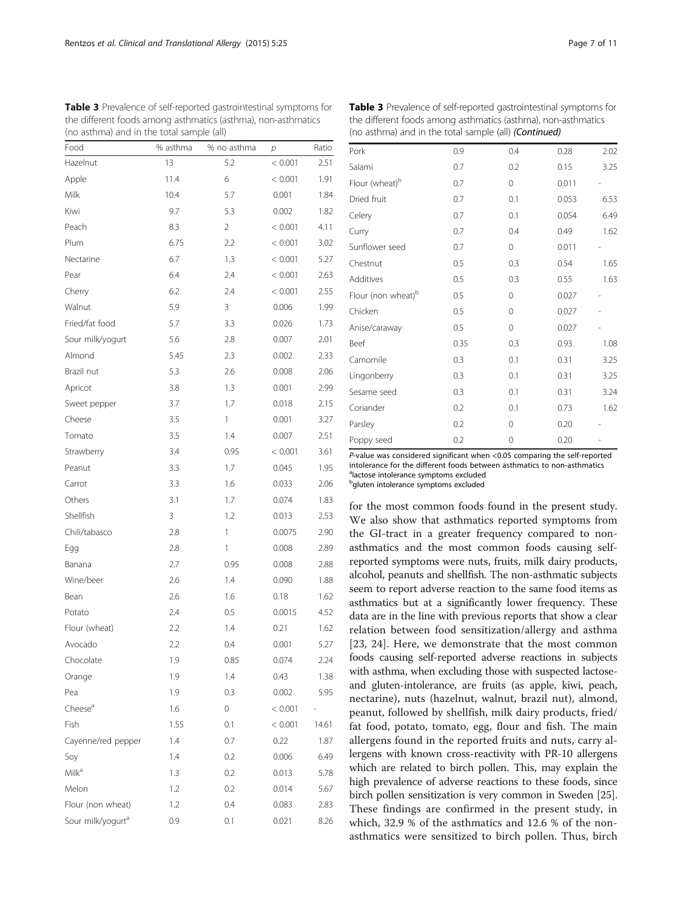<span id="page-6-0"></span>Table 3 Prevalence of self-reported gastrointestinal symptoms for the different foods among asthmatics (asthma), non-asthmatics (no asthma) and in the total sample (all)

| Food                          | % asthma | % no asthma | р       | Ratio |
|-------------------------------|----------|-------------|---------|-------|
| Hazelnut                      | 13       | 5.2         | < 0.001 | 2.51  |
| Apple                         | 11.4     | 6           | < 0.001 | 1.91  |
| Milk                          | 10.4     | 5.7         | 0.001   | 1.84  |
| Kiwi                          | 9.7      | 5.3         | 0.002   | 1.82  |
| Peach                         | 8.3      | 2           | < 0.001 | 4.11  |
| Plum                          | 6.75     | 2.2         | < 0.001 | 3.02  |
| Nectarine                     | 6.7      | 1.3         | < 0.001 | 5.27  |
| Pear                          | 6.4      | 2.4         | < 0.001 | 2.63  |
| Cherry                        | 6.2      | 2.4         | < 0.001 | 2.55  |
| Walnut                        | 5.9      | 3           | 0.006   | 1.99  |
| Fried/fat food                | 5.7      | 3.3         | 0.026   | 1.73  |
| Sour milk/yogurt              | 5.6      | 2.8         | 0.007   | 2.01  |
| Almond                        | 5.45     | 2.3         | 0.002   | 2.33  |
| Brazil nut                    | 5.3      | 2.6         | 0.008   | 2.06  |
| Apricot                       | 3.8      | 1.3         | 0.001   | 2.99  |
| Sweet pepper                  | 3.7      | 1.7         | 0.018   | 2.15  |
| Cheese                        | 3.5      | 1           | 0.001   | 3.27  |
| Tomato                        | 3.5      | 1.4         | 0.007   | 2.51  |
| Strawberry                    | 3.4      | 0.95        | < 0.001 | 3.61  |
| Peanut                        | 3.3      | 1.7         | 0.045   | 1.95  |
| Carrot                        | 3.3      | 1.6         | 0.033   | 2.06  |
| Others                        | 3.1      | 1.7         | 0.074   | 1.83  |
| Shellfish                     | 3        | 1.2         | 0.013   | 2.53  |
| Chili/tabasco                 | 2.8      | 1           | 0.0075  | 2.90  |
| Egg                           | 2.8      | 1           | 0.008   | 2.89  |
| Banana                        | 2.7      | 0.95        | 0.008   | 2.88  |
| Wine/beer                     | 2.6      | 1.4         | 0.090   | 1.88  |
| Bean                          | 2.6      | 1.6         | 0.18    | 1.62  |
| Potato                        | 2.4      | 0.5         | 0.0015  | 4.52  |
| Flour (wheat)                 | 2.2      | 1.4         | 0.21    | 1.62  |
| Avocado                       | 2.2      | 0.4         | 0.001   | 5.27  |
| Chocolate                     | 1.9      | 0.85        | 0.074   | 2.24  |
| Orange                        | 1.9      | 1.4         | 0.43    | 1.38  |
| Pea                           | 1.9      | 0.3         | 0.002   | 5.95  |
| Cheese <sup>a</sup>           | 1.6      | 0           | < 0.001 |       |
| Fish                          | 1.55     | 0.1         | < 0.001 | 14.61 |
| Cayenne/red pepper            | 1.4      | 0.7         | 0.22    | 1.87  |
| Soy                           | 1.4      | 0.2         | 0.006   | 6.49  |
| Milk <sup>a</sup>             | 1.3      | 0.2         | 0.013   | 5.78  |
| Melon                         | 1.2      | 0.2         | 0.014   | 5.67  |
| Flour (non wheat)             | 1.2      | 0.4         | 0.083   | 2.83  |
| Sour milk/yogurt <sup>a</sup> | 0.9      | 0.1         | 0.021   | 8.26  |

| <b>Table 3</b> Prevalence of self-reported gastrointestinal symptoms for |  |
|--------------------------------------------------------------------------|--|
| the different foods among asthmatics (asthma), non-asthmatics            |  |
| (no asthma) and in the total sample (all) (Continued)                    |  |

| Pork                           | 0.9  | 0.4      | 0.28  | 2.02 |
|--------------------------------|------|----------|-------|------|
| Salami                         | 0.7  | 0.2      | 0.15  | 3.25 |
| Flour (wheat) <sup>b</sup>     | 0.7  | 0        | 0.011 |      |
| Dried fruit                    | 0.7  | 0.1      | 0.053 | 6.53 |
| Celery                         | 0.7  | 0.1      | 0.054 | 6.49 |
| Curry                          | 0.7  | 0.4      | 0.49  | 1.62 |
| Sunflower seed                 | 0.7  | 0        | 0.011 |      |
| Chestnut                       | 0.5  | 0.3      | 0.54  | 1.65 |
| Additives                      | 0.5  | 0.3      | 0.55  | 1.63 |
| Flour (non wheat) <sup>b</sup> | 0.5  | 0        | 0.027 |      |
| Chicken                        | 0.5  | $\Omega$ | 0.027 |      |
| Anise/caraway                  | 0.5  | 0        | 0.027 |      |
| Beef                           | 0.35 | 0.3      | 0.93  | 1.08 |
| Camomile                       | 0.3  | 0.1      | 0.31  | 3.25 |
| Lingonberry                    | 0.3  | 0.1      | 0.31  | 3.25 |
| Sesame seed                    | 0.3  | 0.1      | 0.31  | 3.24 |
| Coriander                      | 0.2  | 0.1      | 0.73  | 1.62 |
| Parsley                        | 0.2  | 0        | 0.20  |      |
| Poppy seed                     | 0.2  | 0        | 0.20  |      |

P-value was considered significant when <0.05 comparing the self-reported intolerance for the different foods between asthmatics to non-asthmatics a lactose intolerance symptoms excluded

b gluten intolerance symptoms excluded

for the most common foods found in the present study. We also show that asthmatics reported symptoms from the GI-tract in a greater frequency compared to nonasthmatics and the most common foods causing selfreported symptoms were nuts, fruits, milk dairy products, alcohol, peanuts and shellfish. The non-asthmatic subjects seem to report adverse reaction to the same food items as asthmatics but at a significantly lower frequency. These data are in the line with previous reports that show a clear relation between food sensitization/allergy and asthma [[23](#page-10-0), [24\]](#page-10-0). Here, we demonstrate that the most common foods causing self-reported adverse reactions in subjects with asthma, when excluding those with suspected lactoseand gluten-intolerance, are fruits (as apple, kiwi, peach, nectarine), nuts (hazelnut, walnut, brazil nut), almond, peanut, followed by shellfish, milk dairy products, fried/ fat food, potato, tomato, egg, flour and fish. The main allergens found in the reported fruits and nuts, carry allergens with known cross-reactivity with PR-10 allergens which are related to birch pollen. This, may explain the high prevalence of adverse reactions to these foods, since birch pollen sensitization is very common in Sweden [[25](#page-10-0)]. These findings are confirmed in the present study, in which, 32.9 % of the asthmatics and 12.6 % of the nonasthmatics were sensitized to birch pollen. Thus, birch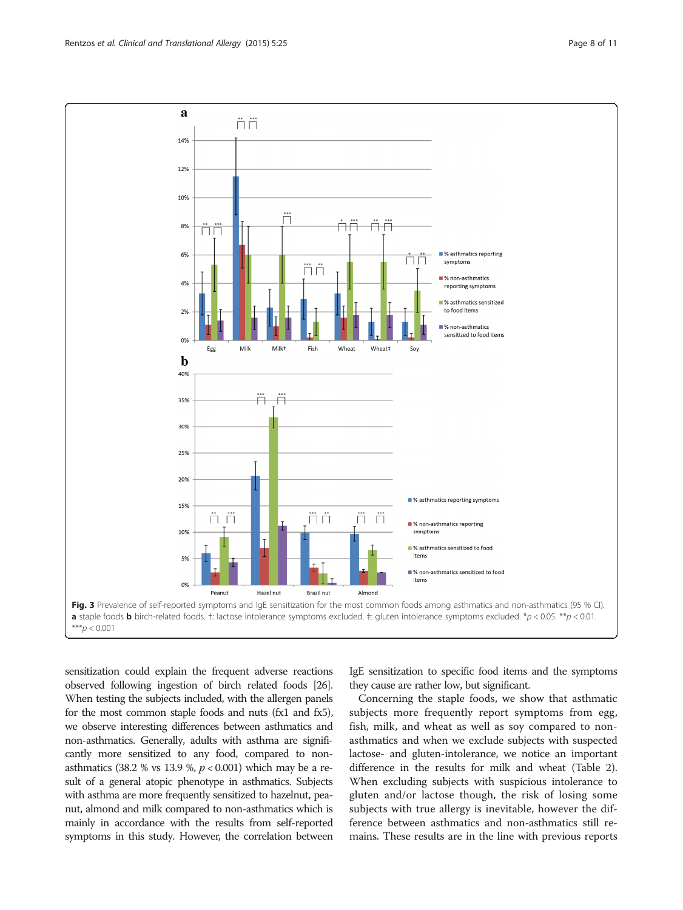<span id="page-7-0"></span>

sensitization could explain the frequent adverse reactions observed following ingestion of birch related foods [\[26\]](#page-10-0). When testing the subjects included, with the allergen panels for the most common staple foods and nuts (fx1 and fx5), we observe interesting differences between asthmatics and non-asthmatics. Generally, adults with asthma are significantly more sensitized to any food, compared to nonasthmatics (38.2 % vs 13.9 %,  $p < 0.001$ ) which may be a result of a general atopic phenotype in asthmatics. Subjects with asthma are more frequently sensitized to hazelnut, peanut, almond and milk compared to non-asthmatics which is mainly in accordance with the results from self-reported symptoms in this study. However, the correlation between IgE sensitization to specific food items and the symptoms they cause are rather low, but significant.

Concerning the staple foods, we show that asthmatic subjects more frequently report symptoms from egg, fish, milk, and wheat as well as soy compared to nonasthmatics and when we exclude subjects with suspected lactose- and gluten-intolerance, we notice an important difference in the results for milk and wheat (Table [2](#page-5-0)). When excluding subjects with suspicious intolerance to gluten and/or lactose though, the risk of losing some subjects with true allergy is inevitable, however the difference between asthmatics and non-asthmatics still remains. These results are in the line with previous reports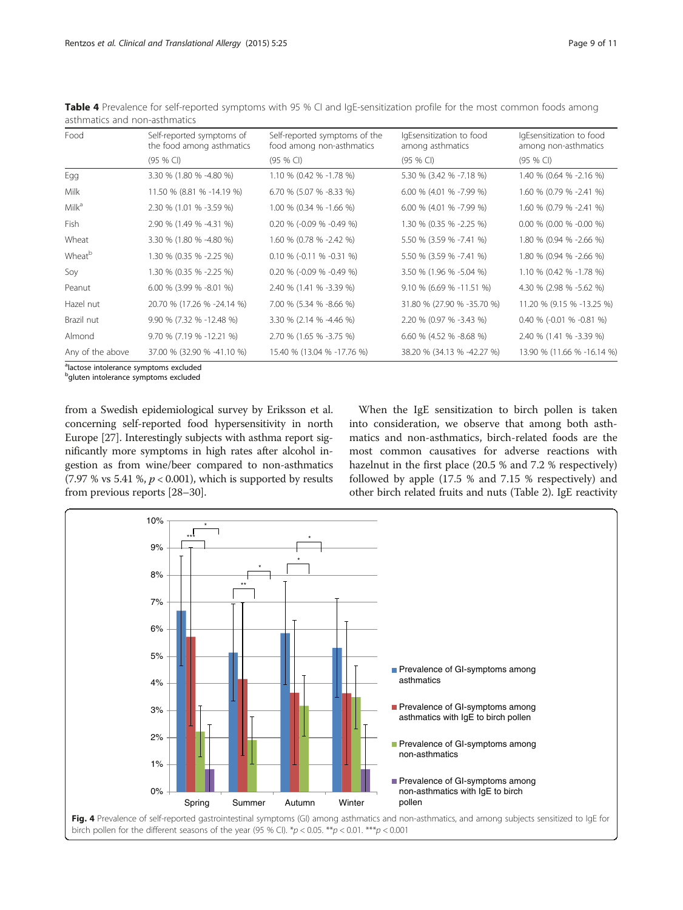<span id="page-8-0"></span>

|                               |  |  | Table 4 Prevalence for self-reported symptoms with 95 % CI and IgE-sensitization profile for the most common foods among |
|-------------------------------|--|--|--------------------------------------------------------------------------------------------------------------------------|
| asthmatics and non-asthmatics |  |  |                                                                                                                          |

| Food               | Self-reported symptoms of<br>the food among asthmatics | Self-reported symptoms of the<br>food among non-asthmatics | IgEsensitization to food<br>among asthmatics | IgEsensitization to food<br>among non-asthmatics |
|--------------------|--------------------------------------------------------|------------------------------------------------------------|----------------------------------------------|--------------------------------------------------|
|                    | $(95%$ CI)                                             | $(95%$ CI)                                                 | $(95%$ CI)                                   | $(95%$ CI)                                       |
| Egg                | 3.30 % (1.80 % -4.80 %)                                | 1.10 % (0.42 % -1.78 %)                                    | 5.30 % (3.42 % -7.18 %)                      | 1.40 % (0.64 % -2.16 %)                          |
| Milk               | 11.50 % (8.81 % -14.19 %)                              | 6.70 % (5.07 % -8.33 %)                                    | $6.00\%$ (4.01 % -7.99 %)                    | 1.60 % (0.79 % -2.41 %)                          |
| Milk <sup>a</sup>  | 2.30 % (1.01 % -3.59 %)                                | 1.00 % (0.34 % -1.66 %)                                    | $6.00\%$ (4.01 % -7.99 %)                    | 1.60 % (0.79 % -2.41 %)                          |
| Fish               | 2.90 % (1.49 % -4.31 %)                                | $0.20\%$ (-0.09 % -0.49 %)                                 | 1.30 % (0.35 % -2.25 %)                      | $0.00\%$ (0.00 % -0.00 %)                        |
| Wheat              | 3.30 % (1.80 % -4.80 %)                                | 1.60 % (0.78 % -2.42 %)                                    | 5.50 % (3.59 % -7.41 %)                      | 1.80 % (0.94 % -2.66 %)                          |
| Wheat <sup>b</sup> | 1.30 % (0.35 % -2.25 %)                                | $0.10\%$ (-0.11 % -0.31 %)                                 | 5.50 % (3.59 % -7.41 %)                      | 1.80 % (0.94 % -2.66 %)                          |
| Soy                | 1.30 % (0.35 % -2.25 %)                                | $0.20\%$ (-0.09 % -0.49 %)                                 | 3.50 % (1.96 % -5.04 %)                      | 1.10 % (0.42 % -1.78 %)                          |
| Peanut             | $6.00\%$ (3.99 % -8.01 %)                              | 2.40 % (1.41 % -3.39 %)                                    | $9.10\%$ (6.69 % -11.51 %)                   | 4.30 % (2.98 % -5.62 %)                          |
| Hazel nut          | 20.70 % (17.26 % -24.14 %)                             | 7.00 % (5.34 % -8.66 %)                                    | 31.80 % (27.90 % -35.70 %)                   | 11.20 % (9.15 % -13.25 %)                        |
| Brazil nut         | 9.90 % (7.32 % -12.48 %)                               | 3.30 % (2.14 % -4.46 %)                                    | 2.20 % (0.97 % -3.43 %)                      | $0.40\%$ (-0.01 % -0.81 %)                       |
| Almond             | 9.70 % (7.19 % -12.21 %)                               | 2.70 % (1.65 % -3.75 %)                                    | 6.60 % (4.52 % -8.68 %)                      | 2.40 % (1.41 % -3.39 %)                          |
| Any of the above   | 37.00 % (32.90 % -41.10 %)                             | 15.40 % (13.04 % -17.76 %)                                 | 38.20 % (34.13 % -42.27 %)                   | 13.90 % (11.66 % -16.14 %)                       |

<sup>a</sup>lactose intolerance symptoms excluded

<sup>b</sup>gluten intolerance symptoms excluded

from a Swedish epidemiological survey by Eriksson et al. concerning self-reported food hypersensitivity in north Europe [\[27\]](#page-10-0). Interestingly subjects with asthma report significantly more symptoms in high rates after alcohol ingestion as from wine/beer compared to non-asthmatics (7.97 % vs 5.41 %,  $p < 0.001$ ), which is supported by results from previous reports [[28](#page-10-0)–[30\]](#page-10-0).

When the IgE sensitization to birch pollen is taken into consideration, we observe that among both asthmatics and non-asthmatics, birch-related foods are the most common causatives for adverse reactions with hazelnut in the first place (20.5 % and 7.2 % respectively) followed by apple (17.5 % and 7.15 % respectively) and other birch related fruits and nuts (Table [2\)](#page-5-0). IgE reactivity

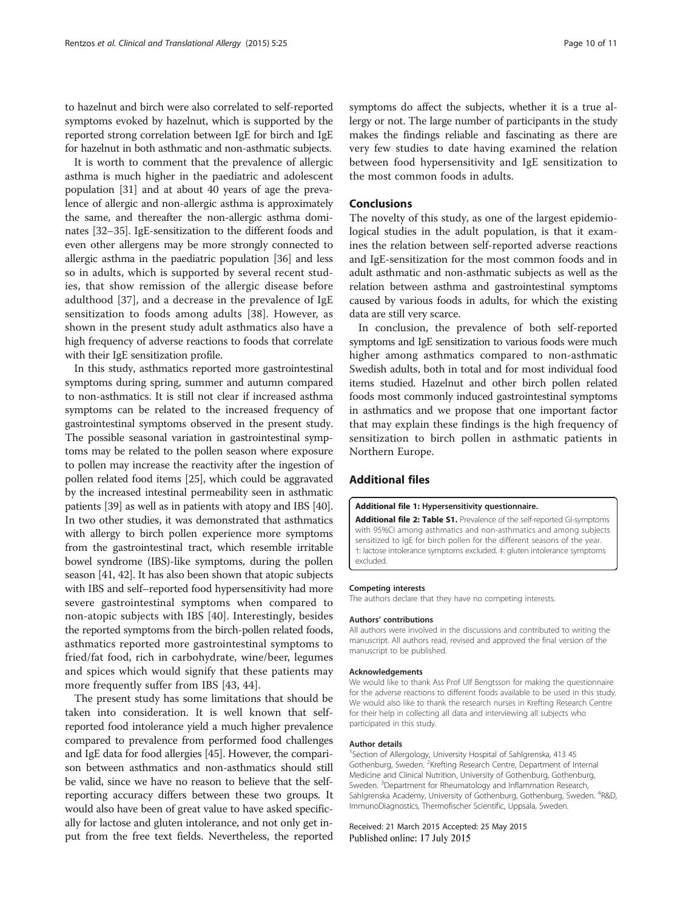<span id="page-9-0"></span>to hazelnut and birch were also correlated to self-reported symptoms evoked by hazelnut, which is supported by the reported strong correlation between IgE for birch and IgE for hazelnut in both asthmatic and non-asthmatic subjects.

It is worth to comment that the prevalence of allergic asthma is much higher in the paediatric and adolescent population [\[31\]](#page-10-0) and at about 40 years of age the prevalence of allergic and non-allergic asthma is approximately the same, and thereafter the non-allergic asthma dominates [[32](#page-10-0)–[35\]](#page-10-0). IgE-sensitization to the different foods and even other allergens may be more strongly connected to allergic asthma in the paediatric population [[36](#page-10-0)] and less so in adults, which is supported by several recent studies, that show remission of the allergic disease before adulthood [[37](#page-10-0)], and a decrease in the prevalence of IgE sensitization to foods among adults [[38\]](#page-10-0). However, as shown in the present study adult asthmatics also have a high frequency of adverse reactions to foods that correlate with their IgE sensitization profile.

In this study, asthmatics reported more gastrointestinal symptoms during spring, summer and autumn compared to non-asthmatics. It is still not clear if increased asthma symptoms can be related to the increased frequency of gastrointestinal symptoms observed in the present study. The possible seasonal variation in gastrointestinal symptoms may be related to the pollen season where exposure to pollen may increase the reactivity after the ingestion of pollen related food items [\[25](#page-10-0)], which could be aggravated by the increased intestinal permeability seen in asthmatic patients [[39\]](#page-10-0) as well as in patients with atopy and IBS [[40](#page-10-0)]. In two other studies, it was demonstrated that asthmatics with allergy to birch pollen experience more symptoms from the gastrointestinal tract, which resemble irritable bowel syndrome (IBS)-like symptoms, during the pollen season [[41](#page-10-0), [42\]](#page-10-0). It has also been shown that atopic subjects with IBS and self–reported food hypersensitivity had more severe gastrointestinal symptoms when compared to non-atopic subjects with IBS [\[40](#page-10-0)]. Interestingly, besides the reported symptoms from the birch-pollen related foods, asthmatics reported more gastrointestinal symptoms to fried/fat food, rich in carbohydrate, wine/beer, legumes and spices which would signify that these patients may more frequently suffer from IBS [[43, 44\]](#page-10-0).

The present study has some limitations that should be taken into consideration. It is well known that selfreported food intolerance yield a much higher prevalence compared to prevalence from performed food challenges and IgE data for food allergies [[45](#page-10-0)]. However, the comparison between asthmatics and non-asthmatics should still be valid, since we have no reason to believe that the selfreporting accuracy differs between these two groups. It would also have been of great value to have asked specifically for lactose and gluten intolerance, and not only get input from the free text fields. Nevertheless, the reported

symptoms do affect the subjects, whether it is a true allergy or not. The large number of participants in the study makes the findings reliable and fascinating as there are very few studies to date having examined the relation between food hypersensitivity and IgE sensitization to the most common foods in adults.

#### Conclusions

The novelty of this study, as one of the largest epidemiological studies in the adult population, is that it examines the relation between self-reported adverse reactions and IgE-sensitization for the most common foods and in adult asthmatic and non-asthmatic subjects as well as the relation between asthma and gastrointestinal symptoms caused by various foods in adults, for which the existing data are still very scarce.

In conclusion, the prevalence of both self-reported symptoms and IgE sensitization to various foods were much higher among asthmatics compared to non-asthmatic Swedish adults, both in total and for most individual food items studied. Hazelnut and other birch pollen related foods most commonly induced gastrointestinal symptoms in asthmatics and we propose that one important factor that may explain these findings is the high frequency of sensitization to birch pollen in asthmatic patients in Northern Europe.

#### Additional files

#### [Additional file 1:](http://www.ctajournal.com/content/supplementary/s13601-015-0067-6-s1.pdf) Hypersensitivity questionnaire.

[Additional file 2: Table S1.](http://www.ctajournal.com/content/supplementary/s13601-015-0067-6-s2.pdf) Prevalence of the self-reported GI-symptoms with 95%CI among asthmatics and non-asthmatics and among subjects sensitized to IgE for birch pollen for the different seasons of the year. †: lactose intolerance symptoms excluded. ‡: gluten intolerance symptoms excluded.

#### Competing interests

The authors declare that they have no competing interests.

#### Authors' contributions

All authors were involved in the discussions and contributed to writing the manuscript. All authors read, revised and approved the final version of the manuscript to be published.

#### Acknowledgements

We would like to thank Ass Prof Ulf Bengtsson for making the questionnaire for the adverse reactions to different foods available to be used in this study. We would also like to thank the research nurses in Krefting Research Centre for their help in collecting all data and interviewing all subjects who participated in this study.

#### Author details

<sup>1</sup>Section of Allergology, University Hospital of Sahlgrenska, 413 45 Gothenburg, Sweden. <sup>2</sup>Krefting Research Centre, Department of Internal Medicine and Clinical Nutrition, University of Gothenburg, Gothenburg, Sweden. <sup>3</sup>Department for Rheumatology and Inflammation Research, Sahlgrenska Academy, University of Gothenburg, Gothenburg, Sweden. <sup>4</sup>R&D, ImmunoDiagnostics, Thermofischer Scientific, Uppsala, Sweden.

Received: 21 March 2015 Accepted: 25 May 2015 Published online: 17 July 2015